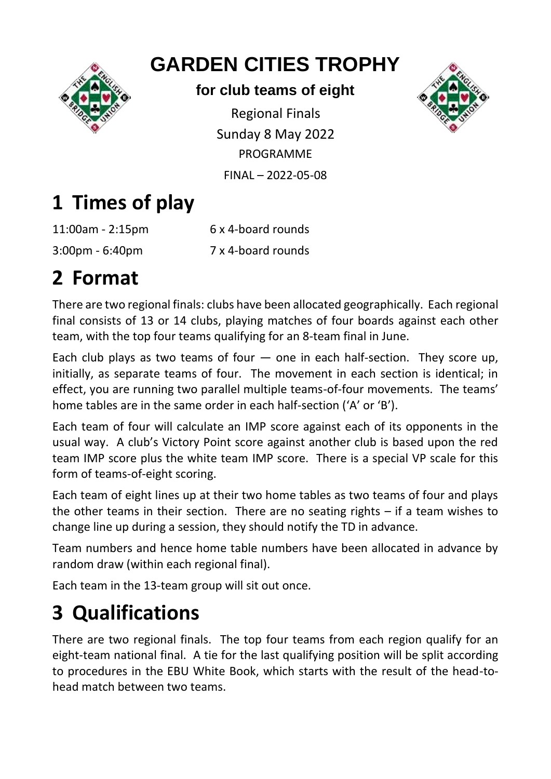

## **GARDEN CITIES TROPHY**

#### **for club teams of eight**

Regional Finals Sunday 8 May 2022 PROGRAMME FINAL – 2022-05-08



# **1 Times of play**

11:00am - 2:15pm 6 x 4-board rounds 3:00pm - 6:40pm 7 x 4-board rounds

# **2 Format**

There are two regional finals: clubs have been allocated geographically. Each regional final consists of 13 or 14 clubs, playing matches of four boards against each other team, with the top four teams qualifying for an 8-team final in June.

Each club plays as two teams of four  $-$  one in each half-section. They score up, initially, as separate teams of four. The movement in each section is identical; in effect, you are running two parallel multiple teams-of-four movements. The teams' home tables are in the same order in each half-section ('A' or 'B').

Each team of four will calculate an IMP score against each of its opponents in the usual way. A club's Victory Point score against another club is based upon the red team IMP score plus the white team IMP score. There is a special VP scale for this form of teams-of-eight scoring.

Each team of eight lines up at their two home tables as two teams of four and plays the other teams in their section. There are no seating rights – if a team wishes to change line up during a session, they should notify the TD in advance.

Team numbers and hence home table numbers have been allocated in advance by random draw (within each regional final).

Each team in the 13-team group will sit out once.

# **3 Qualifications**

There are two regional finals. The top four teams from each region qualify for an eight-team national final. A tie for the last qualifying position will be split according to procedures in the EBU White Book, which starts with the result of the head-tohead match between two teams.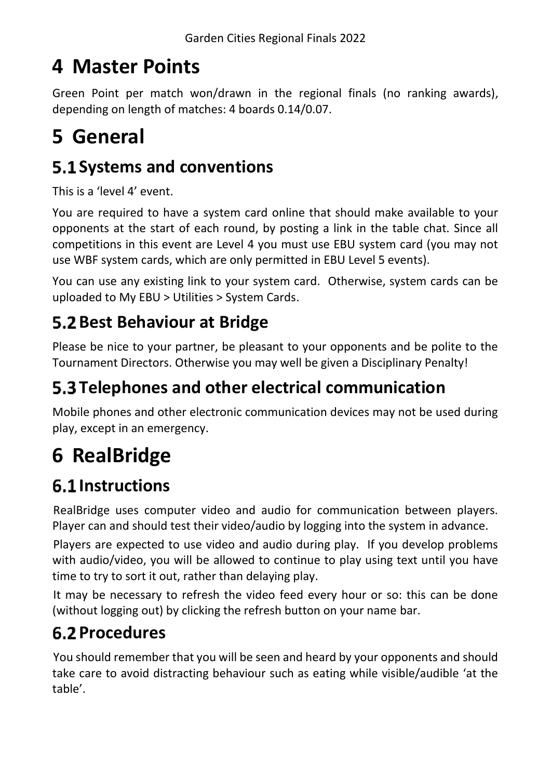## **4 Master Points**

Green Point per match won/drawn in the regional finals (no ranking awards), depending on length of matches: 4 boards 0.14/0.07.

## **5 General**

### **S.1 Systems and conventions**

This is a 'level 4' event.

You are required to have a system card online that should make available to your opponents at the start of each round, by posting a link in the table chat. Since all competitions in this event are Level 4 you must use EBU system card (you may not use WBF system cards, which are only permitted in EBU Level 5 events).

You can use any existing link to your system card. Otherwise, system cards can be uploaded to My EBU > Utilities > System Cards.

### **5.2 Best Behaviour at Bridge**

Please be nice to your partner, be pleasant to your opponents and be polite to the Tournament Directors. Otherwise you may well be given a Disciplinary Penalty!

### **Telephones and other electrical communication**

Mobile phones and other electronic communication devices may not be used during play, except in an emergency.

# **6 RealBridge**

### **6.1 Instructions**

RealBridge uses computer video and audio for communication between players. Player can and should test their video/audio by logging into the system in advance.

Players are expected to use video and audio during play. If you develop problems with audio/video, you will be allowed to continue to play using text until you have time to try to sort it out, rather than delaying play.

It may be necessary to refresh the video feed every hour or so: this can be done (without logging out) by clicking the refresh button on your name bar.

### **6.2 Procedures**

You should remember that you will be seen and heard by your opponents and should take care to avoid distracting behaviour such as eating while visible/audible 'at the table'.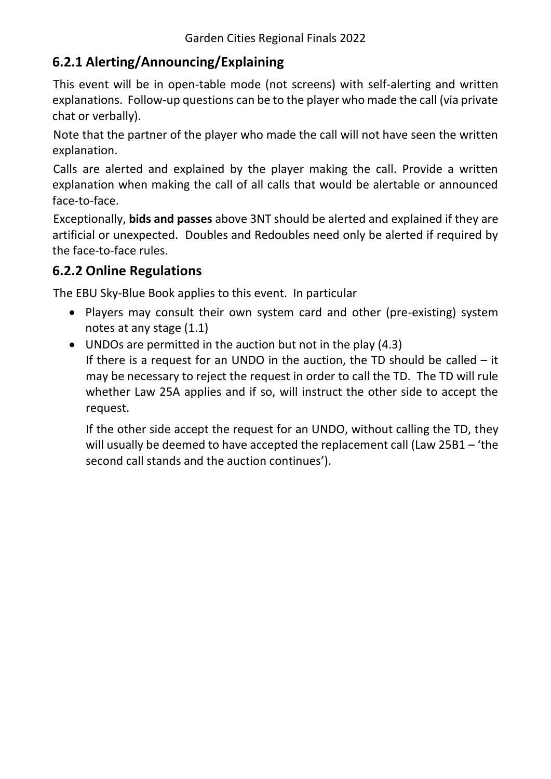#### **6.2.1 Alerting/Announcing/Explaining**

This event will be in open-table mode (not screens) with self-alerting and written explanations. Follow-up questions can be to the player who made the call (via private chat or verbally).

Note that the partner of the player who made the call will not have seen the written explanation.

Calls are alerted and explained by the player making the call. Provide a written explanation when making the call of all calls that would be alertable or announced face-to-face.

Exceptionally, **bids and passes** above 3NT should be alerted and explained if they are artificial or unexpected. Doubles and Redoubles need only be alerted if required by the face-to-face rules.

#### **6.2.2 Online Regulations**

The [EBU Sky-Blue Book](https://www.ebu.co.uk/documents/laws-and-ethics/skyblue-book.pdf) applies to this event. In particular

- Players may consult their own system card and other (pre-existing) system notes at any stage (1.1)
- UNDOs are permitted in the auction but not in the play (4.3) If there is a request for an UNDO in the auction, the TD should be called – it may be necessary to reject the request in order to call the TD. The TD will rule whether Law 25A applies and if so, will instruct the other side to accept the request.

If the other side accept the request for an UNDO, without calling the TD, they will usually be deemed to have accepted the replacement call (Law 25B1 – 'the second call stands and the auction continues').